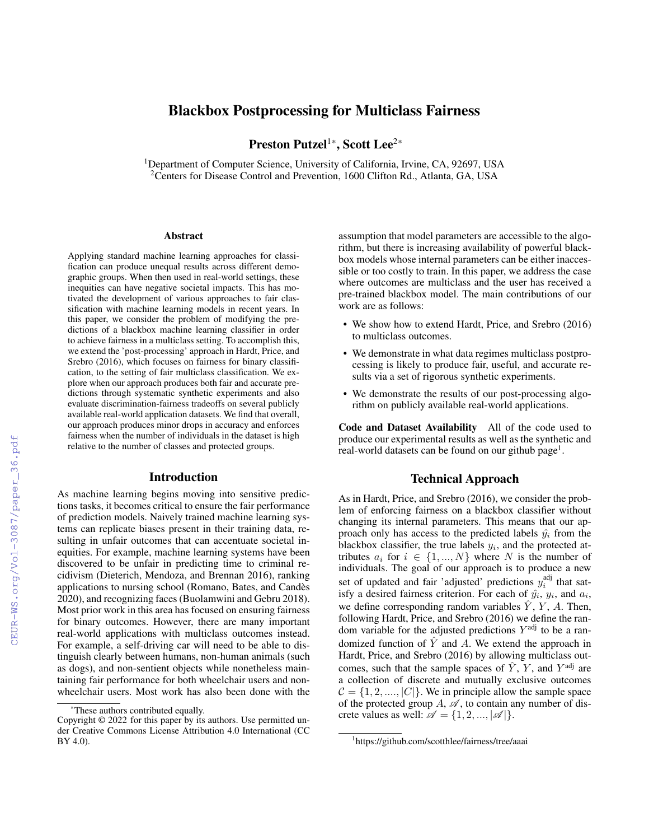# Blackbox Postprocessing for Multiclass Fairness

Preston Putzel<sup>1\*</sup>, Scott Lee<sup>2\*</sup>

<sup>1</sup>Department of Computer Science, University of California, Irvine, CA, 92697, USA <sup>2</sup> Centers for Disease Control and Prevention, 1600 Clifton Rd., Atlanta, GA, USA

#### **Abstract**

Applying standard machine learning approaches for classification can produce unequal results across different demographic groups. When then used in real-world settings, these inequities can have negative societal impacts. This has motivated the development of various approaches to fair classification with machine learning models in recent years. In this paper, we consider the problem of modifying the predictions of a blackbox machine learning classifier in order to achieve fairness in a multiclass setting. To accomplish this, we extend the 'post-processing' approach in Hardt, Price, and Srebro (2016), which focuses on fairness for binary classification, to the setting of fair multiclass classification. We explore when our approach produces both fair and accurate predictions through systematic synthetic experiments and also evaluate discrimination-fairness tradeoffs on several publicly available real-world application datasets. We find that overall, our approach produces minor drops in accuracy and enforces fairness when the number of individuals in the dataset is high relative to the number of classes and protected groups.

#### Introduction

As machine learning begins moving into sensitive predictions tasks, it becomes critical to ensure the fair performance of prediction models. Naively trained machine learning systems can replicate biases present in their training data, resulting in unfair outcomes that can accentuate societal inequities. For example, machine learning systems have been discovered to be unfair in predicting time to criminal recidivism (Dieterich, Mendoza, and Brennan 2016), ranking applications to nursing school (Romano, Bates, and Candes` 2020), and recognizing faces (Buolamwini and Gebru 2018). Most prior work in this area has focused on ensuring fairness for binary outcomes. However, there are many important real-world applications with multiclass outcomes instead. For example, a self-driving car will need to be able to distinguish clearly between humans, non-human animals (such as dogs), and non-sentient objects while nonetheless maintaining fair performance for both wheelchair users and nonwheelchair users. Most work has also been done with the

assumption that model parameters are accessible to the algorithm, but there is increasing availability of powerful blackbox models whose internal parameters can be either inaccessible or too costly to train. In this paper, we address the case where outcomes are multiclass and the user has received a pre-trained blackbox model. The main contributions of our work are as follows:

- We show how to extend Hardt, Price, and Srebro (2016) to multiclass outcomes.
- We demonstrate in what data regimes multiclass postprocessing is likely to produce fair, useful, and accurate results via a set of rigorous synthetic experiments.
- We demonstrate the results of our post-processing algorithm on publicly available real-world applications.

Code and Dataset Availability All of the code used to produce our experimental results as well as the synthetic and real-world datasets can be found on our github page<sup>1</sup>.

# Technical Approach

As in Hardt, Price, and Srebro (2016), we consider the problem of enforcing fairness on a blackbox classifier without changing its internal parameters. This means that our approach only has access to the predicted labels  $\hat{y}_i$  from the blackbox classifier, the true labels  $y_i$ , and the protected attributes  $a_i$  for  $i \in \{1, ..., N\}$  where N is the number of individuals. The goal of our approach is to produce a new set of updated and fair 'adjusted' predictions  $y_i^{\text{adj}}$  that satisfy a desired fairness criterion. For each of  $\hat{y}_i$ ,  $y_i$ , and  $a_i$ , we define corresponding random variables  $\hat{Y}$ , Y, A. Then, following Hardt, Price, and Srebro (2016) we define the random variable for the adjusted predictions  $Y^{\text{adj}}$  to be a randomized function of  $\hat{Y}$  and A. We extend the approach in Hardt, Price, and Srebro (2016) by allowing multiclass outcomes, such that the sample spaces of  $\hat{Y}$ ,  $\hat{Y}$ , and  $Y^{\text{adj}}$  are a collection of discrete and mutually exclusive outcomes  $C = \{1, 2, ..., |C|\}$ . We in principle allow the sample space of the protected group  $A$ ,  $\mathscr A$ , to contain any number of discrete values as well:  $\mathscr{A} = \{1, 2, ..., |\mathscr{A}|\}.$ 

<sup>\*</sup>These authors contributed equally.

Copyright © 2022 for this paper by its authors. Use permitted under Creative Commons License Attribution 4.0 International (CC BY 4.0).

<sup>1</sup> https://github.com/scotthlee/fairness/tree/aaai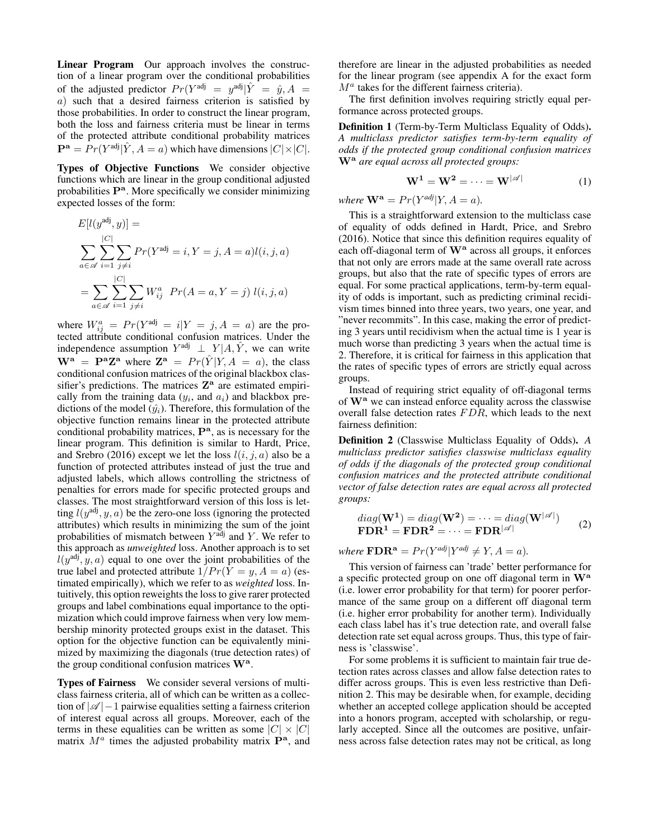Linear Program Our approach involves the construction of a linear program over the conditional probabilities of the adjusted predictor  $Pr(Y^{adj} = y^{adj} | \hat{Y} = \hat{y}, A =$ a) such that a desired fairness criterion is satisfied by those probabilities. In order to construct the linear program, both the loss and fairness criteria must be linear in terms of the protected attribute conditional probability matrices  $\mathbf{P}^{\mathbf{a}} = Pr(Y^{\text{adj}} | \hat{Y}, A = a)$  which have dimensions  $|C| \times |C|$ .

Types of Objective Functions We consider objective functions which are linear in the group conditional adjusted probabilities P<sup>a</sup>. More specifically we consider minimizing expected losses of the form:

$$
E[l(y^{adj}, y)] =
$$
  
\n
$$
\sum_{a \in \mathscr{A}} \sum_{i=1}^{|C|} \sum_{j \neq i} Pr(Y^{adj} = i, Y = j, A = a)l(i, j, a)
$$
  
\n
$$
= \sum_{a \in \mathscr{A}} \sum_{i=1}^{|C|} \sum_{j \neq i} W_{ij}^{a} Pr(A = a, Y = j) l(i, j, a)
$$

where  $W_{ij}^a = Pr(Y^{adj} = i | Y = j, A = a)$  are the protected attribute conditional confusion matrices. Under the independence assumption  $Y^{adj} \perp Y | A, \hat{Y}$ , we can write  $\mathbf{W}^{\mathbf{a}} = \mathbf{P}^{\mathbf{a}} \mathbf{Z}^{\mathbf{a}}$  where  $\mathbf{Z}^{\mathbf{a}} = Pr(\hat{Y} | Y, A = a)$ , the class conditional confusion matrices of the original blackbox classifier's predictions. The matrices  $\mathbf{Z}^{\mathbf{a}}$  are estimated empirically from the training data  $(y_i)$ , and  $a_i$ ) and blackbox predictions of the model  $(\hat{y}_i)$ . Therefore, this formulation of the objective function remains linear in the protected attribute conditional probability matrices,  $\mathbf{P}^{\mathbf{a}}$ , as is necessary for the linear program. This definition is similar to Hardt, Price, and Srebro (2016) except we let the loss  $l(i, j, a)$  also be a function of protected attributes instead of just the true and adjusted labels, which allows controlling the strictness of penalties for errors made for specific protected groups and classes. The most straightforward version of this loss is letting  $l(y^{adj}, y, a)$  be the zero-one loss (ignoring the protected attributes) which results in minimizing the sum of the joint probabilities of mismatch between  $Y^{\text{adj}}$  and Y. We refer to this approach as *unweighted* loss. Another approach is to set  $l(y^{adj}, y, a)$  equal to one over the joint probabilities of the true label and protected attribute  $1/Pr(Y = y, A = a)$  (estimated empirically), which we refer to as *weighted* loss. Intuitively, this option reweights the loss to give rarer protected groups and label combinations equal importance to the optimization which could improve fairness when very low membership minority protected groups exist in the dataset. This option for the objective function can be equivalently minimized by maximizing the diagonals (true detection rates) of the group conditional confusion matrices  $W^a$ .

Types of Fairness We consider several versions of multiclass fairness criteria, all of which can be written as a collection of  $|\mathcal{A}|-1$  pairwise equalities setting a fairness criterion of interest equal across all groups. Moreover, each of the terms in these equalities can be written as some  $|C| \times |C|$ matrix  $M^a$  times the adjusted probability matrix  $\mathbf{P}^a$ , and

therefore are linear in the adjusted probabilities as needed for the linear program (see appendix A for the exact form  $M^a$  takes for the different fairness criteria).

The first definition involves requiring strictly equal performance across protected groups.

Definition 1 (Term-by-Term Multiclass Equality of Odds). *A multiclass predictor satisfies term-by-term equality of odds if the protected group conditional confusion matrices* W<sup>a</sup> *are equal across all protected groups:*

$$
\mathbf{W}^1 = \mathbf{W}^2 = \dots = \mathbf{W}^{|\mathscr{A}|} \tag{1}
$$

*where*  $\mathbf{W}^{\mathbf{a}} = Pr(Y^{adj}|Y, A = a)$ *.* 

This is a straightforward extension to the multiclass case of equality of odds defined in Hardt, Price, and Srebro (2016). Notice that since this definition requires equality of each off-diagonal term of W<sup>a</sup> across all groups, it enforces that not only are errors made at the same overall rate across groups, but also that the rate of specific types of errors are equal. For some practical applications, term-by-term equality of odds is important, such as predicting criminal recidivism times binned into three years, two years, one year, and "never recommits". In this case, making the error of predicting 3 years until recidivism when the actual time is 1 year is much worse than predicting 3 years when the actual time is 2. Therefore, it is critical for fairness in this application that the rates of specific types of errors are strictly equal across groups.

Instead of requiring strict equality of off-diagonal terms of W<sup>a</sup> we can instead enforce equality across the classwise overall false detection rates  $FDR$ , which leads to the next fairness definition:

Definition 2 (Classwise Multiclass Equality of Odds). *A multiclass predictor satisfies classwise multiclass equality of odds if the diagonals of the protected group conditional confusion matrices and the protected attribute conditional vector of false detection rates are equal across all protected groups:*

$$
diag(\mathbf{W}^1) = diag(\mathbf{W}^2) = \dots = diag(\mathbf{W}^{|\mathscr{A}|})
$$
  
\n
$$
\mathbf{FDR}^1 = \mathbf{FDR}^2 = \dots = \mathbf{FDR}^{|\mathscr{A}|}
$$
 (2)

*where*  $\mathbf{FDR^a} = Pr(Y^{adj}|Y^{adj} \neq Y, A = a)$ *.* 

This version of fairness can 'trade' better performance for a specific protected group on one off diagonal term in W<sup>a</sup> (i.e. lower error probability for that term) for poorer performance of the same group on a different off diagonal term (i.e. higher error probability for another term). Individually each class label has it's true detection rate, and overall false detection rate set equal across groups. Thus, this type of fairness is 'classwise'.

For some problems it is sufficient to maintain fair true detection rates across classes and allow false detection rates to differ across groups. This is even less restrictive than Definition 2. This may be desirable when, for example, deciding whether an accepted college application should be accepted into a honors program, accepted with scholarship, or regularly accepted. Since all the outcomes are positive, unfairness across false detection rates may not be critical, as long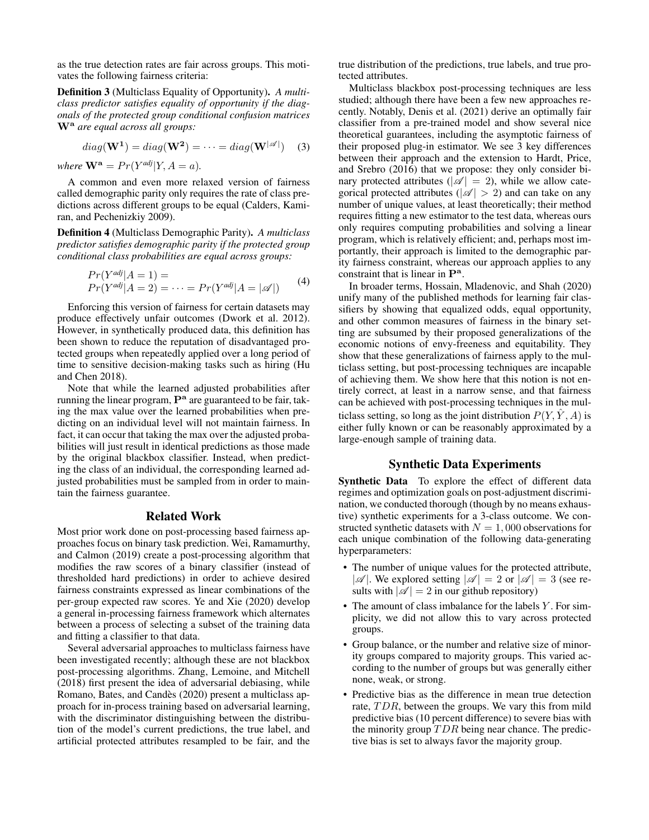as the true detection rates are fair across groups. This motivates the following fairness criteria:

Definition 3 (Multiclass Equality of Opportunity). *A multiclass predictor satisfies equality of opportunity if the diagonals of the protected group conditional confusion matrices* W<sup>a</sup> *are equal across all groups:*

$$
diag(\mathbf{W}^1) = diag(\mathbf{W}^2) = \dots = diag(\mathbf{W}^{|\mathscr{A}|})
$$
 (3)

*where*  $\mathbf{W}^{\mathbf{a}} = Pr(Y^{adj}|Y, A = a)$ *.* 

A common and even more relaxed version of fairness called demographic parity only requires the rate of class predictions across different groups to be equal (Calders, Kamiran, and Pechenizkiy 2009).

Definition 4 (Multiclass Demographic Parity). *A multiclass predictor satisfies demographic parity if the protected group conditional class probabilities are equal across groups:*

$$
Pr(Y^{adj}|A = 1) =
$$
  
 
$$
Pr(Y^{adj}|A = 2) = \dots = Pr(Y^{adj}|A = |\mathcal{A}|)
$$
 (4)

Enforcing this version of fairness for certain datasets may produce effectively unfair outcomes (Dwork et al. 2012). However, in synthetically produced data, this definition has been shown to reduce the reputation of disadvantaged protected groups when repeatedly applied over a long period of time to sensitive decision-making tasks such as hiring (Hu and Chen 2018).

Note that while the learned adjusted probabilities after running the linear program,  $\mathbf{P}^{\mathbf{a}}$  are guaranteed to be fair, taking the max value over the learned probabilities when predicting on an individual level will not maintain fairness. In fact, it can occur that taking the max over the adjusted probabilities will just result in identical predictions as those made by the original blackbox classifier. Instead, when predicting the class of an individual, the corresponding learned adjusted probabilities must be sampled from in order to maintain the fairness guarantee.

#### Related Work

Most prior work done on post-processing based fairness approaches focus on binary task prediction. Wei, Ramamurthy, and Calmon (2019) create a post-processing algorithm that modifies the raw scores of a binary classifier (instead of thresholded hard predictions) in order to achieve desired fairness constraints expressed as linear combinations of the per-group expected raw scores. Ye and Xie (2020) develop a general in-processing fairness framework which alternates between a process of selecting a subset of the training data and fitting a classifier to that data.

Several adversarial approaches to multiclass fairness have been investigated recently; although these are not blackbox post-processing algorithms. Zhang, Lemoine, and Mitchell (2018) first present the idea of adversarial debiasing, while Romano, Bates, and Candès (2020) present a multiclass approach for in-process training based on adversarial learning, with the discriminator distinguishing between the distribution of the model's current predictions, the true label, and artificial protected attributes resampled to be fair, and the true distribution of the predictions, true labels, and true protected attributes.

Multiclass blackbox post-processing techniques are less studied; although there have been a few new approaches recently. Notably, Denis et al. (2021) derive an optimally fair classifier from a pre-trained model and show several nice theoretical guarantees, including the asymptotic fairness of their proposed plug-in estimator. We see 3 key differences between their approach and the extension to Hardt, Price, and Srebro (2016) that we propose: they only consider binary protected attributes ( $|\mathscr{A}| = 2$ ), while we allow categorical protected attributes ( $|\mathcal{A}| > 2$ ) and can take on any number of unique values, at least theoretically; their method requires fitting a new estimator to the test data, whereas ours only requires computing probabilities and solving a linear program, which is relatively efficient; and, perhaps most importantly, their approach is limited to the demographic parity fairness constraint, whereas our approach applies to any constraint that is linear in  $\mathbf{P}^{\mathbf{a}}$ .

In broader terms, Hossain, Mladenovic, and Shah (2020) unify many of the published methods for learning fair classifiers by showing that equalized odds, equal opportunity, and other common measures of fairness in the binary setting are subsumed by their proposed generalizations of the economic notions of envy-freeness and equitability. They show that these generalizations of fairness apply to the multiclass setting, but post-processing techniques are incapable of achieving them. We show here that this notion is not entirely correct, at least in a narrow sense, and that fairness can be achieved with post-processing techniques in the multiclass setting, so long as the joint distribution  $P(Y, \hat{Y}, A)$  is either fully known or can be reasonably approximated by a large-enough sample of training data.

# Synthetic Data Experiments

Synthetic Data To explore the effect of different data regimes and optimization goals on post-adjustment discrimination, we conducted thorough (though by no means exhaustive) synthetic experiments for a 3-class outcome. We constructed synthetic datasets with  $N = 1,000$  observations for each unique combination of the following data-generating hyperparameters:

- The number of unique values for the protected attribute,  $|\mathscr{A}|$ . We explored setting  $|\mathscr{A}| = 2$  or  $|\mathscr{A}| = 3$  (see results with  $|\mathcal{A}| = 2$  in our github repository)
- $\bullet$  The amount of class imbalance for the labels Y. For simplicity, we did not allow this to vary across protected groups.
- Group balance, or the number and relative size of minority groups compared to majority groups. This varied according to the number of groups but was generally either none, weak, or strong.
- Predictive bias as the difference in mean true detection rate, TDR, between the groups. We vary this from mild predictive bias (10 percent difference) to severe bias with the minority group  $TDR$  being near chance. The predictive bias is set to always favor the majority group.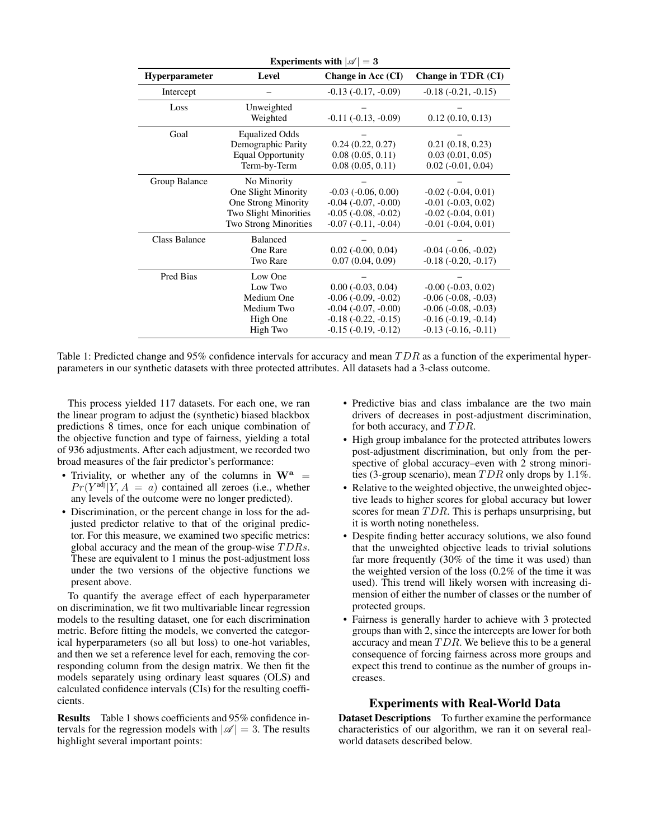| Experiments with $ \mathcal{A}  = 3$ |                                                                                                                           |                                                                                                                                          |                                                                                                                                   |  |  |  |
|--------------------------------------|---------------------------------------------------------------------------------------------------------------------------|------------------------------------------------------------------------------------------------------------------------------------------|-----------------------------------------------------------------------------------------------------------------------------------|--|--|--|
| <b>Hyperparameter</b>                | Level                                                                                                                     | Change in Acc (CI)                                                                                                                       | Change in TDR (CI)                                                                                                                |  |  |  |
| Intercept                            |                                                                                                                           | $-0.13$ $(-0.17, -0.09)$                                                                                                                 | $-0.18(-0.21, -0.15)$                                                                                                             |  |  |  |
| Loss                                 | Unweighted<br>Weighted                                                                                                    | $-0.11(-0.13, -0.09)$                                                                                                                    | 0.12(0.10, 0.13)                                                                                                                  |  |  |  |
| Goal                                 | <b>Equalized Odds</b><br>Demographic Parity<br><b>Equal Opportunity</b><br>Term-by-Term                                   | 0.24(0.22, 0.27)<br>0.08(0.05, 0.11)<br>0.08(0.05, 0.11)                                                                                 | 0.21(0.18, 0.23)<br>0.03(0.01, 0.05)<br>$0.02$ ( $-0.01$ , $0.04$ )                                                               |  |  |  |
| Group Balance                        | No Minority<br>One Slight Minority<br><b>One Strong Minority</b><br><b>Two Slight Minorities</b><br>Two Strong Minorities | $-0.03$ $(-0.06, 0.00)$<br>$-0.04$ $(-0.07, -0.00)$<br>$-0.05$ $(-0.08, -0.02)$<br>$-0.07$ $(-0.11, -0.04)$                              | $-0.02$ $(-0.04, 0.01)$<br>$-0.01$ $(-0.03, 0.02)$<br>$-0.02$ $(-0.04, 0.01)$<br>$-0.01$ $(-0.04, 0.01)$                          |  |  |  |
| <b>Class Balance</b>                 | <b>Balanced</b><br>One Rare<br>Two Rare                                                                                   | $0.02$ ( $-0.00$ , $0.04$ )<br>0.07(0.04, 0.09)                                                                                          | $-0.04$ $(-0.06, -0.02)$<br>$-0.18(-0.20, -0.17)$                                                                                 |  |  |  |
| Pred Bias                            | Low One<br>Low Two<br>Medium One<br>Medium Two<br>High One<br>High Two                                                    | $0.00$ ( $-0.03$ , $0.04$ )<br>$-0.06$ $(-0.09, -0.02)$<br>$-0.04$ $(-0.07, -0.00)$<br>$-0.18(-0.22, -0.15)$<br>$-0.15$ $(-0.19, -0.12)$ | $-0.00$ $(-0.03, 0.02)$<br>$-0.06$ $(-0.08, -0.03)$<br>$-0.06$ $(-0.08, -0.03)$<br>$-0.16(-0.19, -0.14)$<br>$-0.13(-0.16, -0.11)$ |  |  |  |

Table 1: Predicted change and 95% confidence intervals for accuracy and mean  $TDR$  as a function of the experimental hyperparameters in our synthetic datasets with three protected attributes. All datasets had a 3-class outcome.

This process yielded 117 datasets. For each one, we ran the linear program to adjust the (synthetic) biased blackbox predictions 8 times, once for each unique combination of the objective function and type of fairness, yielding a total of 936 adjustments. After each adjustment, we recorded two broad measures of the fair predictor's performance:

- Triviality, or whether any of the columns in  $W^a$  =  $Pr(Y^{adj}|Y, A = a)$  contained all zeroes (i.e., whether any levels of the outcome were no longer predicted).
- Discrimination, or the percent change in loss for the adjusted predictor relative to that of the original predictor. For this measure, we examined two specific metrics: global accuracy and the mean of the group-wise  $TDRs$ . These are equivalent to 1 minus the post-adjustment loss under the two versions of the objective functions we present above.

To quantify the average effect of each hyperparameter on discrimination, we fit two multivariable linear regression models to the resulting dataset, one for each discrimination metric. Before fitting the models, we converted the categorical hyperparameters (so all but loss) to one-hot variables, and then we set a reference level for each, removing the corresponding column from the design matrix. We then fit the models separately using ordinary least squares (OLS) and calculated confidence intervals (CIs) for the resulting coefficients.

Results Table 1 shows coefficients and 95% confidence intervals for the regression models with  $|\mathscr{A}| = 3$ . The results highlight several important points:

- Predictive bias and class imbalance are the two main drivers of decreases in post-adjustment discrimination, for both accuracy, and  $TDR$ .
- High group imbalance for the protected attributes lowers post-adjustment discrimination, but only from the perspective of global accuracy–even with 2 strong minorities (3-group scenario), mean  $TDR$  only drops by 1.1%.
- Relative to the weighted objective, the unweighted objective leads to higher scores for global accuracy but lower scores for mean  $TDR$ . This is perhaps unsurprising, but it is worth noting nonetheless.
- Despite finding better accuracy solutions, we also found that the unweighted objective leads to trivial solutions far more frequently (30% of the time it was used) than the weighted version of the loss (0.2% of the time it was used). This trend will likely worsen with increasing dimension of either the number of classes or the number of protected groups.
- Fairness is generally harder to achieve with 3 protected groups than with 2, since the intercepts are lower for both accuracy and mean  $TDR$ . We believe this to be a general consequence of forcing fairness across more groups and expect this trend to continue as the number of groups increases.

# Experiments with Real-World Data

Dataset Descriptions To further examine the performance characteristics of our algorithm, we ran it on several realworld datasets described below.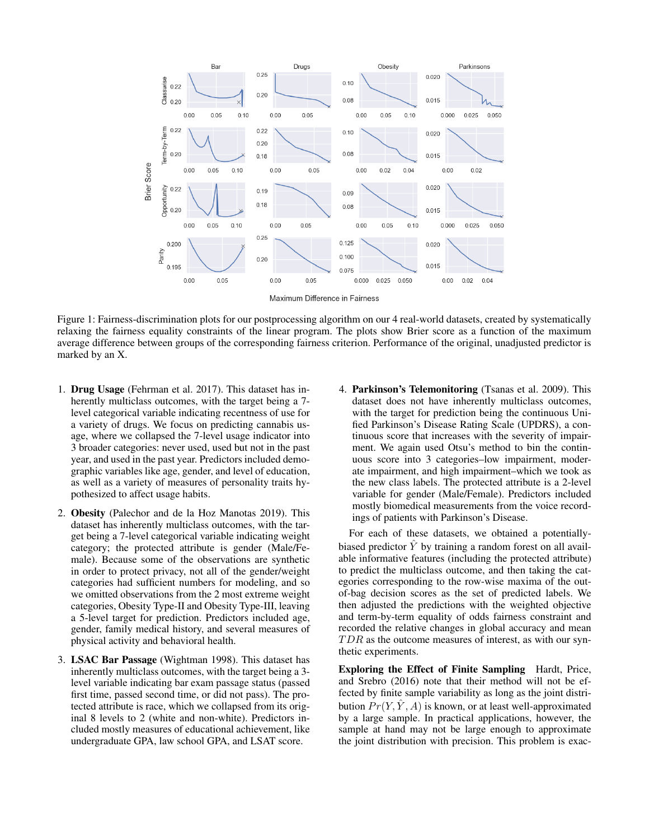

Maximum Difference in Fairness

Figure 1: Fairness-discrimination plots for our postprocessing algorithm on our 4 real-world datasets, created by systematically relaxing the fairness equality constraints of the linear program. The plots show Brier score as a function of the maximum average difference between groups of the corresponding fairness criterion. Performance of the original, unadjusted predictor is marked by an X.

- 1. Drug Usage (Fehrman et al. 2017). This dataset has inherently multiclass outcomes, with the target being a 7 level categorical variable indicating recentness of use for a variety of drugs. We focus on predicting cannabis usage, where we collapsed the 7-level usage indicator into 3 broader categories: never used, used but not in the past year, and used in the past year. Predictors included demographic variables like age, gender, and level of education, as well as a variety of measures of personality traits hypothesized to affect usage habits.
- 2. Obesity (Palechor and de la Hoz Manotas 2019). This dataset has inherently multiclass outcomes, with the target being a 7-level categorical variable indicating weight category; the protected attribute is gender (Male/Female). Because some of the observations are synthetic in order to protect privacy, not all of the gender/weight categories had sufficient numbers for modeling, and so we omitted observations from the 2 most extreme weight categories, Obesity Type-II and Obesity Type-III, leaving a 5-level target for prediction. Predictors included age, gender, family medical history, and several measures of physical activity and behavioral health.
- 3. LSAC Bar Passage (Wightman 1998). This dataset has inherently multiclass outcomes, with the target being a 3 level variable indicating bar exam passage status (passed first time, passed second time, or did not pass). The protected attribute is race, which we collapsed from its original 8 levels to 2 (white and non-white). Predictors included mostly measures of educational achievement, like undergraduate GPA, law school GPA, and LSAT score.

4. Parkinson's Telemonitoring (Tsanas et al. 2009). This dataset does not have inherently multiclass outcomes, with the target for prediction being the continuous Unified Parkinson's Disease Rating Scale (UPDRS), a continuous score that increases with the severity of impairment. We again used Otsu's method to bin the continuous score into 3 categories–low impairment, moderate impairment, and high impairment–which we took as the new class labels. The protected attribute is a 2-level variable for gender (Male/Female). Predictors included mostly biomedical measurements from the voice recordings of patients with Parkinson's Disease.

For each of these datasets, we obtained a potentiallybiased predictor  $\overline{Y}$  by training a random forest on all available informative features (including the protected attribute) to predict the multiclass outcome, and then taking the categories corresponding to the row-wise maxima of the outof-bag decision scores as the set of predicted labels. We then adjusted the predictions with the weighted objective and term-by-term equality of odds fairness constraint and recorded the relative changes in global accuracy and mean  $TDR$  as the outcome measures of interest, as with our synthetic experiments.

Exploring the Effect of Finite Sampling Hardt, Price, and Srebro (2016) note that their method will not be effected by finite sample variability as long as the joint distribution  $Pr(Y, \hat{Y}, A)$  is known, or at least well-approximated by a large sample. In practical applications, however, the sample at hand may not be large enough to approximate the joint distribution with precision. This problem is exac-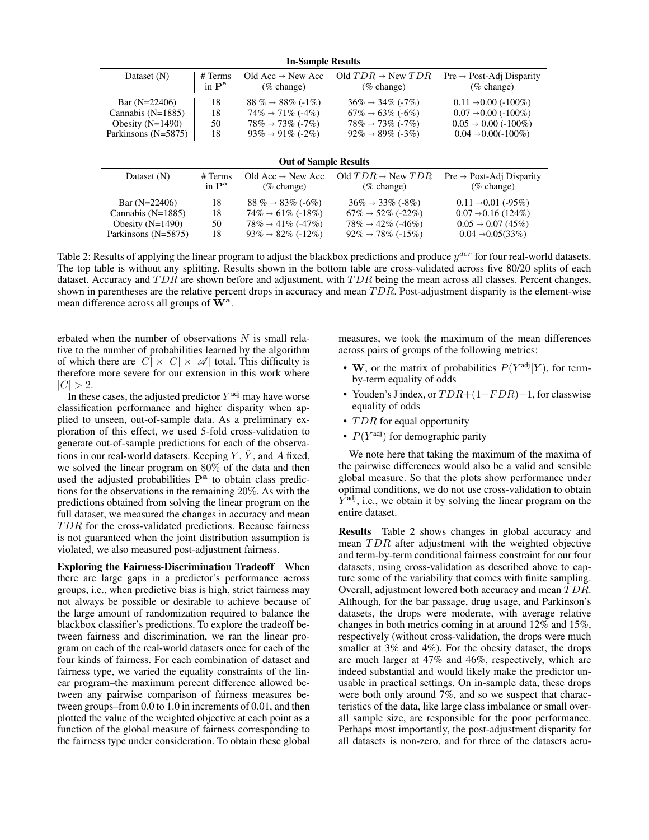| <b>In-Sample Results</b>     |                              |                                 |                                 |                                      |  |  |
|------------------------------|------------------------------|---------------------------------|---------------------------------|--------------------------------------|--|--|
| Dataset $(N)$                | # Terms                      | Old Acc $\rightarrow$ New Acc   | Old $TDR \rightarrow New TDR$   | $Pre \rightarrow Post-Adj Disparity$ |  |  |
|                              | in $\mathbf{P}^{\mathbf{a}}$ | $(\%$ change)                   | $(\%$ change)                   | $(\%$ change)                        |  |  |
| Bar $(N=22406)$              | 18                           | 88 % $\rightarrow$ 88% (-1%)    | $36\% \rightarrow 34\%$ (-7%)   | $0.11 \rightarrow 0.00$ (-100%)      |  |  |
| Cannabis $(N=1885)$          | 18                           | $74\% \rightarrow 71\%$ (-4%)   | $67\% \rightarrow 63\%$ (-6\%)  | $0.07 \rightarrow 0.00$ (-100%)      |  |  |
| Obesity $(N=1490)$           | 50                           | $78\% \rightarrow 73\%$ (-7%)   | $78\% \rightarrow 73\%$ (-7%)   | $0.05 \rightarrow 0.00$ (-100%)      |  |  |
| Parkinsons (N=5875)          | 18                           | $93\% \rightarrow 91\%$ (-2\%)  | $92\% \rightarrow 89\%$ (-3\%)  | $0.04 \rightarrow 0.00(-100\%)$      |  |  |
| <b>Out of Sample Results</b> |                              |                                 |                                 |                                      |  |  |
| Dataset (N)                  | # Terms                      | Old Acc $\rightarrow$ New Acc   | Old $TDR \rightarrow New TDR$   | $Pre \rightarrow Post-Adj Disparity$ |  |  |
|                              | in $\mathbf{P}^{\mathbf{a}}$ | $(\%$ change)                   | $(\%$ change)                   | $(\%$ change)                        |  |  |
| Bar $(N=22406)$              | 18                           | 88 % $\rightarrow$ 83% (-6%)    | $36\% \rightarrow 33\%$ (-8%)   | $0.11 \rightarrow 0.01$ (-95%)       |  |  |
| Cannabis $(N=1885)$          | 18                           | $74\% \rightarrow 61\%$ (-18\%) | $67\% \rightarrow 52\%$ (-22\%) | $0.07 \rightarrow 0.16(124\%)$       |  |  |
| Obesity $(N=1490)$           | 50                           | $78\% \rightarrow 41\%$ (-47%)  | $78\% \rightarrow 42\%$ (-46%)  | $0.05 \rightarrow 0.07(45\%)$        |  |  |
| Parkinsons (N=5875)          | 18                           | $93\% \rightarrow 82\%$ (-12\%) | $92\% \rightarrow 78\%$ (-15%)  | $0.04 \rightarrow 0.05(33\%)$        |  |  |
|                              |                              |                                 |                                 |                                      |  |  |

Table 2: Results of applying the linear program to adjust the blackbox predictions and produce  $y^{der}$  for four real-world datasets. The top table is without any splitting. Results shown in the bottom table are cross-validated across five 80/20 splits of each dataset. Accuracy and  $TDR$  are shown before and adjustment, with  $TDR$  being the mean across all classes. Percent changes, shown in parentheses are the relative percent drops in accuracy and mean  $TDR$ . Post-adjustment disparity is the element-wise mean difference across all groups of  $\mathbf{\hat{W}}^{\mathbf{a}}$ .

erbated when the number of observations  $N$  is small relative to the number of probabilities learned by the algorithm of which there are  $|C| \times |C| \times |\mathscr{A}|$  total. This difficulty is therefore more severe for our extension in this work where  $|C| > 2.$ 

In these cases, the adjusted predictor  $Y^{\text{adj}}$  may have worse classification performance and higher disparity when applied to unseen, out-of-sample data. As a preliminary exploration of this effect, we used 5-fold cross-validation to generate out-of-sample predictions for each of the observations in our real-world datasets. Keeping  $Y$ ,  $\hat{Y}$ , and A fixed, we solved the linear program on 80% of the data and then used the adjusted probabilities P<sup>a</sup> to obtain class predictions for the observations in the remaining 20%. As with the predictions obtained from solving the linear program on the full dataset, we measured the changes in accuracy and mean  $TDR$  for the cross-validated predictions. Because fairness is not guaranteed when the joint distribution assumption is violated, we also measured post-adjustment fairness.

Exploring the Fairness-Discrimination Tradeoff When there are large gaps in a predictor's performance across groups, i.e., when predictive bias is high, strict fairness may not always be possible or desirable to achieve because of the large amount of randomization required to balance the blackbox classifier's predictions. To explore the tradeoff between fairness and discrimination, we ran the linear program on each of the real-world datasets once for each of the four kinds of fairness. For each combination of dataset and fairness type, we varied the equality constraints of the linear program–the maximum percent difference allowed between any pairwise comparison of fairness measures between groups–from 0.0 to 1.0 in increments of 0.01, and then plotted the value of the weighted objective at each point as a function of the global measure of fairness corresponding to the fairness type under consideration. To obtain these global

measures, we took the maximum of the mean differences across pairs of groups of the following metrics:

- W, or the matrix of probabilities  $P(Y^{\text{adj}}|Y)$ , for termby-term equality of odds
- Youden's J index, or  $TDR+(1-FDR)-1$ , for classwise equality of odds
- $TDR$  for equal opportunity
- $P(Y^{\text{adj}})$  for demographic parity

We note here that taking the maximum of the maxima of the pairwise differences would also be a valid and sensible global measure. So that the plots show performance under optimal conditions, we do not use cross-validation to obtain  $\overline{Y}^{\text{adj}}$ , i.e., we obtain it by solving the linear program on the entire dataset.

Results Table 2 shows changes in global accuracy and mean TDR after adjustment with the weighted objective and term-by-term conditional fairness constraint for our four datasets, using cross-validation as described above to capture some of the variability that comes with finite sampling. Overall, adjustment lowered both accuracy and mean TDR. Although, for the bar passage, drug usage, and Parkinson's datasets, the drops were moderate, with average relative changes in both metrics coming in at around 12% and 15%, respectively (without cross-validation, the drops were much smaller at 3% and 4%). For the obesity dataset, the drops are much larger at 47% and 46%, respectively, which are indeed substantial and would likely make the predictor unusable in practical settings. On in-sample data, these drops were both only around 7%, and so we suspect that characteristics of the data, like large class imbalance or small overall sample size, are responsible for the poor performance. Perhaps most importantly, the post-adjustment disparity for all datasets is non-zero, and for three of the datasets actu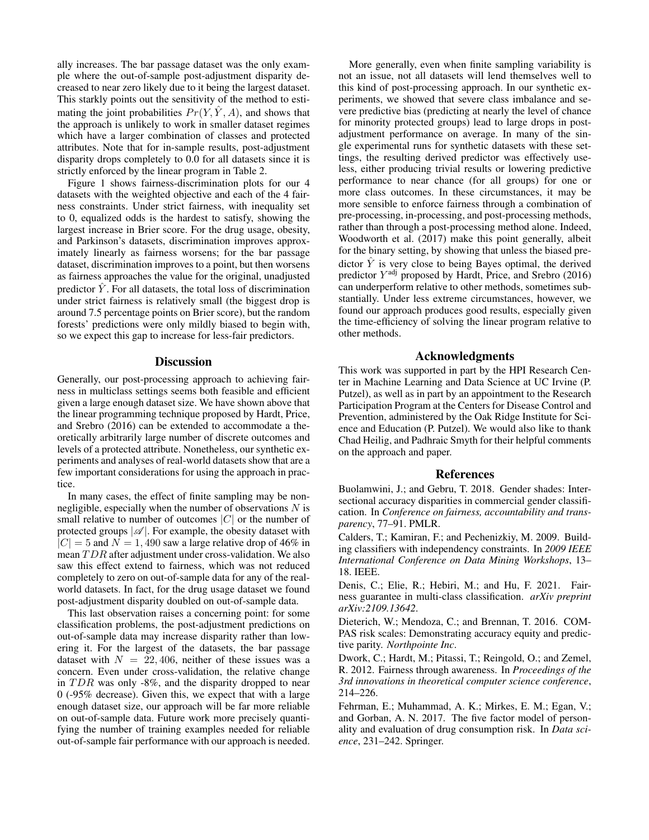ally increases. The bar passage dataset was the only example where the out-of-sample post-adjustment disparity decreased to near zero likely due to it being the largest dataset. This starkly points out the sensitivity of the method to estimating the joint probabilities  $Pr(Y, \hat{Y}, A)$ , and shows that the approach is unlikely to work in smaller dataset regimes which have a larger combination of classes and protected attributes. Note that for in-sample results, post-adjustment disparity drops completely to 0.0 for all datasets since it is strictly enforced by the linear program in Table 2.

Figure 1 shows fairness-discrimination plots for our 4 datasets with the weighted objective and each of the 4 fairness constraints. Under strict fairness, with inequality set to 0, equalized odds is the hardest to satisfy, showing the largest increase in Brier score. For the drug usage, obesity, and Parkinson's datasets, discrimination improves approximately linearly as fairness worsens; for the bar passage dataset, discrimination improves to a point, but then worsens as fairness approaches the value for the original, unadjusted predictor  $\hat{Y}$ . For all datasets, the total loss of discrimination under strict fairness is relatively small (the biggest drop is around 7.5 percentage points on Brier score), but the random forests' predictions were only mildly biased to begin with, so we expect this gap to increase for less-fair predictors.

## **Discussion**

Generally, our post-processing approach to achieving fairness in multiclass settings seems both feasible and efficient given a large enough dataset size. We have shown above that the linear programming technique proposed by Hardt, Price, and Srebro (2016) can be extended to accommodate a theoretically arbitrarily large number of discrete outcomes and levels of a protected attribute. Nonetheless, our synthetic experiments and analyses of real-world datasets show that are a few important considerations for using the approach in practice.

In many cases, the effect of finite sampling may be nonnegligible, especially when the number of observations  $N$  is small relative to number of outcomes  $|C|$  or the number of protected groups  $|\mathcal{A}|$ . For example, the obesity dataset with  $|C| = 5$  and  $N = 1,490$  saw a large relative drop of 46% in mean TDR after adjustment under cross-validation. We also saw this effect extend to fairness, which was not reduced completely to zero on out-of-sample data for any of the realworld datasets. In fact, for the drug usage dataset we found post-adjustment disparity doubled on out-of-sample data.

This last observation raises a concerning point: for some classification problems, the post-adjustment predictions on out-of-sample data may increase disparity rather than lowering it. For the largest of the datasets, the bar passage dataset with  $N = 22,406$ , neither of these issues was a concern. Even under cross-validation, the relative change in  $TDR$  was only -8%, and the disparity dropped to near 0 (-95% decrease). Given this, we expect that with a large enough dataset size, our approach will be far more reliable on out-of-sample data. Future work more precisely quantifying the number of training examples needed for reliable out-of-sample fair performance with our approach is needed.

More generally, even when finite sampling variability is not an issue, not all datasets will lend themselves well to this kind of post-processing approach. In our synthetic experiments, we showed that severe class imbalance and severe predictive bias (predicting at nearly the level of chance for minority protected groups) lead to large drops in postadjustment performance on average. In many of the single experimental runs for synthetic datasets with these settings, the resulting derived predictor was effectively useless, either producing trivial results or lowering predictive performance to near chance (for all groups) for one or more class outcomes. In these circumstances, it may be more sensible to enforce fairness through a combination of pre-processing, in-processing, and post-processing methods, rather than through a post-processing method alone. Indeed, Woodworth et al. (2017) make this point generally, albeit for the binary setting, by showing that unless the biased predictor  $\hat{Y}$  is very close to being Bayes optimal, the derived predictor  $Y^{\text{adj}}$  proposed by Hardt, Price, and Srebro (2016) can underperform relative to other methods, sometimes substantially. Under less extreme circumstances, however, we found our approach produces good results, especially given the time-efficiency of solving the linear program relative to other methods.

#### Acknowledgments

This work was supported in part by the HPI Research Center in Machine Learning and Data Science at UC Irvine (P. Putzel), as well as in part by an appointment to the Research Participation Program at the Centers for Disease Control and Prevention, administered by the Oak Ridge Institute for Science and Education (P. Putzel). We would also like to thank Chad Heilig, and Padhraic Smyth for their helpful comments on the approach and paper.

#### References

Buolamwini, J.; and Gebru, T. 2018. Gender shades: Intersectional accuracy disparities in commercial gender classification. In *Conference on fairness, accountability and transparency*, 77–91. PMLR.

Calders, T.; Kamiran, F.; and Pechenizkiy, M. 2009. Building classifiers with independency constraints. In *2009 IEEE International Conference on Data Mining Workshops*, 13– 18. IEEE.

Denis, C.; Elie, R.; Hebiri, M.; and Hu, F. 2021. Fairness guarantee in multi-class classification. *arXiv preprint arXiv:2109.13642*.

Dieterich, W.; Mendoza, C.; and Brennan, T. 2016. COM-PAS risk scales: Demonstrating accuracy equity and predictive parity. *Northpointe Inc*.

Dwork, C.; Hardt, M.; Pitassi, T.; Reingold, O.; and Zemel, R. 2012. Fairness through awareness. In *Proceedings of the 3rd innovations in theoretical computer science conference*, 214–226.

Fehrman, E.; Muhammad, A. K.; Mirkes, E. M.; Egan, V.; and Gorban, A. N. 2017. The five factor model of personality and evaluation of drug consumption risk. In *Data science*, 231–242. Springer.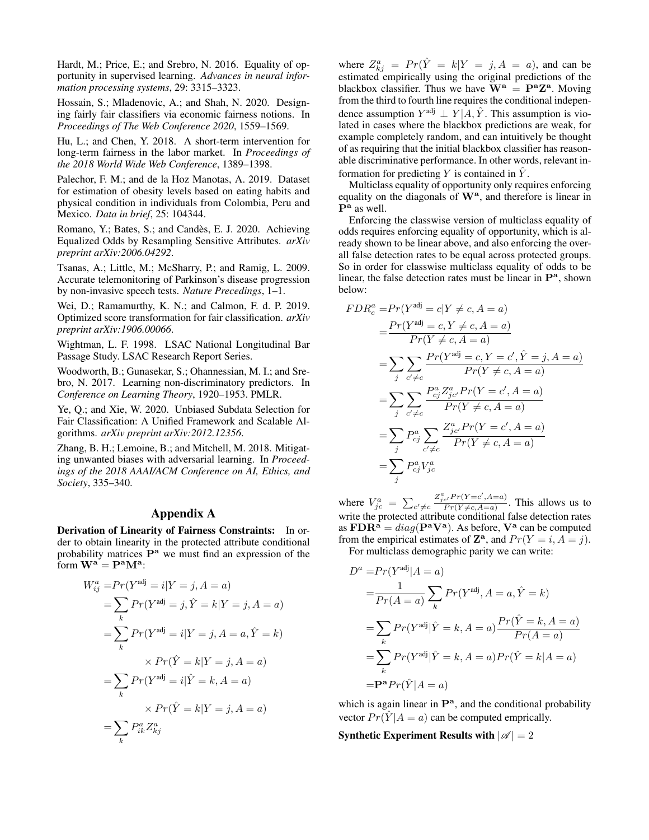Hardt, M.; Price, E.; and Srebro, N. 2016. Equality of opportunity in supervised learning. *Advances in neural information processing systems*, 29: 3315–3323.

Hossain, S.; Mladenovic, A.; and Shah, N. 2020. Designing fairly fair classifiers via economic fairness notions. In *Proceedings of The Web Conference 2020*, 1559–1569.

Hu, L.; and Chen, Y. 2018. A short-term intervention for long-term fairness in the labor market. In *Proceedings of the 2018 World Wide Web Conference*, 1389–1398.

Palechor, F. M.; and de la Hoz Manotas, A. 2019. Dataset for estimation of obesity levels based on eating habits and physical condition in individuals from Colombia, Peru and Mexico. *Data in brief*, 25: 104344.

Romano, Y.; Bates, S.; and Candès, E. J. 2020. Achieving Equalized Odds by Resampling Sensitive Attributes. *arXiv preprint arXiv:2006.04292*.

Tsanas, A.; Little, M.; McSharry, P.; and Ramig, L. 2009. Accurate telemonitoring of Parkinson's disease progression by non-invasive speech tests. *Nature Precedings*, 1–1.

Wei, D.; Ramamurthy, K. N.; and Calmon, F. d. P. 2019. Optimized score transformation for fair classification. *arXiv preprint arXiv:1906.00066*.

Wightman, L. F. 1998. LSAC National Longitudinal Bar Passage Study. LSAC Research Report Series.

Woodworth, B.; Gunasekar, S.; Ohannessian, M. I.; and Srebro, N. 2017. Learning non-discriminatory predictors. In *Conference on Learning Theory*, 1920–1953. PMLR.

Ye, Q.; and Xie, W. 2020. Unbiased Subdata Selection for Fair Classification: A Unified Framework and Scalable Algorithms. *arXiv preprint arXiv:2012.12356*.

Zhang, B. H.; Lemoine, B.; and Mitchell, M. 2018. Mitigating unwanted biases with adversarial learning. In *Proceedings of the 2018 AAAI/ACM Conference on AI, Ethics, and Society*, 335–340.

## Appendix A

Derivation of Linearity of Fairness Constraints: In order to obtain linearity in the protected attribute conditional probability matrices  $P^a$  we must find an expression of the form  $\mathbf{W}^{\mathbf{a}} = \mathbf{P}^{\mathbf{a}} \mathbf{M}^{\mathbf{a}}$ :

$$
W_{ij}^{a} = Pr(Y^{adj} = i|Y = j, A = a)
$$
  
= 
$$
\sum_{k} Pr(Y^{adj} = j, \hat{Y} = k|Y = j, A = a)
$$
  
= 
$$
\sum_{k} Pr(Y^{adj} = i|Y = j, A = a, \hat{Y} = k)
$$
  

$$
\times Pr(\hat{Y} = k|Y = j, A = a)
$$
  
= 
$$
\sum_{k} Pr(Y^{adj} = i|\hat{Y} = k, A = a)
$$
  
= 
$$
\sum_{k} P_{ik}^{a} Z_{kj}^{a}
$$

where  $Z_{kj}^a = Pr(\hat{Y} = k | Y = j, A = a)$ , and can be estimated empirically using the original predictions of the blackbox classifier. Thus we have  $\mathbf{W}^{\mathbf{a}} = \mathbf{P}^{\mathbf{a}} \mathbf{Z}^{\mathbf{a}}$ . Moving from the third to fourth line requires the conditional independence assumption  $Y^{adj} \perp Y | A, \hat{Y}$ . This assumption is violated in cases where the blackbox predictions are weak, for example completely random, and can intuitively be thought of as requiring that the initial blackbox classifier has reasonable discriminative performance. In other words, relevant information for predicting Y is contained in  $\hat{Y}$ .

Multiclass equality of opportunity only requires enforcing equality on the diagonals of  $W^a$ , and therefore is linear in  $\mathbf{P}^{\mathbf{a}}$  as well.

Enforcing the classwise version of multiclass equality of odds requires enforcing equality of opportunity, which is already shown to be linear above, and also enforcing the overall false detection rates to be equal across protected groups. So in order for classwise multiclass equality of odds to be linear, the false detection rates must be linear in  $\mathbf{P}^{\mathbf{a}}$ , shown below:

$$
FDR_c^a = Pr(Y^{adj} = c | Y \neq c, A = a)
$$
  
= 
$$
\frac{Pr(Y^{adj} = c, Y \neq c, A = a)}{Pr(Y \neq c, A = a)}
$$
  
= 
$$
\sum_{j} \sum_{c' \neq c} \frac{Pr(Y^{adj} = c, Y = c', \hat{Y} = j, A = a)}{Pr(Y \neq c, A = a)}
$$
  
= 
$$
\sum_{j} \sum_{c' \neq c} \frac{P_{cj}^a Z_{jc'}^a Pr(Y = c', A = a)}{Pr(Y \neq c, A = a)}
$$
  
= 
$$
\sum_{j} P_{cj}^a \sum_{c' \neq c} \frac{Z_{jc'}^a Pr(Y = c', A = a)}{Pr(Y \neq c, A = a)}
$$
  
= 
$$
\sum_{j} P_{cj}^a V_{jc}^a
$$

where  $V_{jc}^a = \sum_{c' \neq c}$  $Z_{jc'}^a Pr(Y=c', A=a)$  $\frac{e^{rT} \Gamma(1 - e^{rT})}{Pr(Y \neq c, A = a)}$ . This allows us to write the protected attribute conditional false detection rates as  $\mathbf{FDR}^{\tilde{\mathbf{a}}} = diag(\mathbf{P}^{\mathbf{a}}\mathbf{V}^{\mathbf{a}})$ . As before,  $\mathbf{V}^{\mathbf{a}}$  can be computed from the empirical estimates of  $\mathbb{Z}^{\mathbf{a}}$ , and  $Pr(Y = i, A = j)$ . For multiclass demographic parity we can write:

$$
D^{a} = Pr(Y^{adj}|A = a)
$$
  
= 
$$
\frac{1}{Pr(A = a)} \sum_{k} Pr(Y^{adj}, A = a, \hat{Y} = k)
$$
  
= 
$$
\sum_{k} Pr(Y^{adj} | \hat{Y} = k, A = a) \frac{Pr(\hat{Y} = k, A = a)}{Pr(A = a)}
$$
  
= 
$$
\sum_{k} Pr(Y^{adj} | \hat{Y} = k, A = a) Pr(\hat{Y} = k | A = a)
$$
  
= 
$$
P^{a} Pr(\hat{Y} | A = a)
$$

which is again linear in  $\mathbf{P}^a$ , and the conditional probability vector  $Pr(\hat{Y} | A = a)$  can be computed emprically.

Synthetic Experiment Results with  $|\mathscr{A}| = 2$